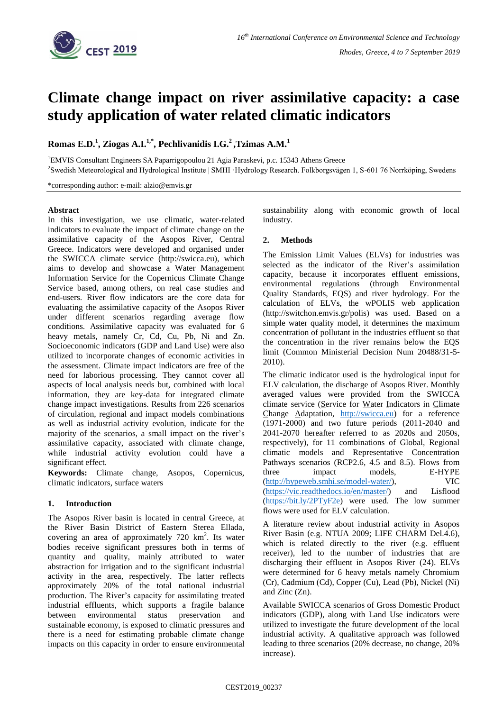

# **Climate change impact on river assimilative capacity: a case study application of water related climatic indicators**

**Romas E.D.<sup>1</sup> , Ziogas A.I.1,\* , Pechlivanidis I.G.<sup>2</sup> ,Tzimas A.M.<sup>1</sup>**

<sup>1</sup>EMVIS Consultant Engineers SA Paparrigopoulou 21 Agia Paraskevi, p.c. 15343 Athens Greece

<sup>2</sup>Swedish Meteorological and Hydrological Institute | SMHI ·Hydrology Research. Folkborgsvägen 1, S-601 76 Norrköping, Swedens

\*corresponding author: e-mail: alzio@emvis.gr

#### **Abstract**

In this investigation, we use climatic, water-related indicators to evaluate the impact of climate change on the assimilative capacity of the Asopos River, Central Greece. Indicators were developed and organised under the SWICCA climate service (http://swicca.eu), which aims to develop and showcase a Water Management Information Service for the Copernicus Climate Change Service based, among others, on real case studies and end-users. River flow indicators are the core data for evaluating the assimilative capacity of the Asopos River under different scenarios regarding average flow conditions. Assimilative capacity was evaluated for 6 heavy metals, namely Cr, Cd, Cu, Pb, Ni and Zn. Socioeconomic indicators (GDP and Land Use) were also utilized to incorporate changes of economic activities in the assessment. Climate impact indicators are free of the need for laborious processing. They cannot cover all aspects of local analysis needs but, combined with local information, they are key-data for integrated climate change impact investigations. Results from 226 scenarios of circulation, regional and impact models combinations as well as industrial activity evolution, indicate for the majority of the scenarios, a small impact on the river's assimilative capacity, associated with climate change, while industrial activity evolution could have a significant effect.

**Keywords:** Climate change, Asopos, Copernicus, climatic indicators, surface waters

## **1. Introduction**

The Asopos River basin is located in central Greece, at the River Basin District of Eastern Sterea Ellada, covering an area of approximately  $720 \text{ km}^2$ . Its water bodies receive significant pressures both in terms of quantity and quality, mainly attributed to water abstraction for irrigation and to the significant industrial activity in the area, respectively. The latter reflects approximately 20% of the total national industrial production. The River's capacity for assimilating treated industrial effluents, which supports a fragile balance between environmental status preservation and sustainable economy, is exposed to climatic pressures and there is a need for estimating probable climate change impacts on this capacity in order to ensure environmental

sustainability along with economic growth of local industry.

## **2. Methods**

The Emission Limit Values (ELVs) for industries was selected as the indicator of the River's assimilation capacity, because it incorporates effluent emissions, environmental regulations (through Environmental Quality Standards, EQS) and river hydrology. For the calculation of ELVs, the wPOLIS web application (http://switchon.emvis.gr/polis) was used. Based on a simple water quality model, it determines the maximum concentration of pollutant in the industries effluent so that the concentration in the river remains below the EQS limit (Common Ministerial Decision Num 20488/31-5- 2010).

The climatic indicator used is the hydrological input for ELV calculation, the discharge of Asopos River. Monthly averaged values were provided from the SWICCA climate service (Service for Water Indicators in Climate Change Adaptation, [http://swicca.eu\)](http://swicca.eu/) for a reference (1971-2000) and two future periods (2011-2040 and 2041-2070 hereafter referred to as 2020s and 2050s, respectively), for 11 combinations of Global, Regional climatic models and Representative Concentration Pathways scenarios (RCP2.6, 4.5 and 8.5). Flows from three impact models, E-HYPE [\(http://hypeweb.smhi.se/model-water/\)](http://hypeweb.smhi.se/model-water/), VIC [\(https://vic.readthedocs.io/en/master/\)](https://vic.readthedocs.io/en/master/) and Lisflood [\(https://bit.ly/2PTyF2e\)](https://bit.ly/2PTyF2e) were used. The low summer flows were used for ELV calculation.

A literature review about industrial activity in Asopos River Basin (e.g. NTUA 2009; LIFE CHARM Del.4.6), which is related directly to the river (e.g. effluent receiver), led to the number of industries that are discharging their effluent in Asopos River (24). ELVs were determined for 6 heavy metals namely Chromium (Cr), Cadmium (Cd), Copper (Cu), Lead (Pb), Nickel (Ni) and Zinc (Zn).

Available SWICCA scenarios of Gross Domestic Product indicators (GDP), along with Land Use indicators were utilized to investigate the future development of the local industrial activity. A qualitative approach was followed leading to three scenarios (20% decrease, no change, 20% increase).